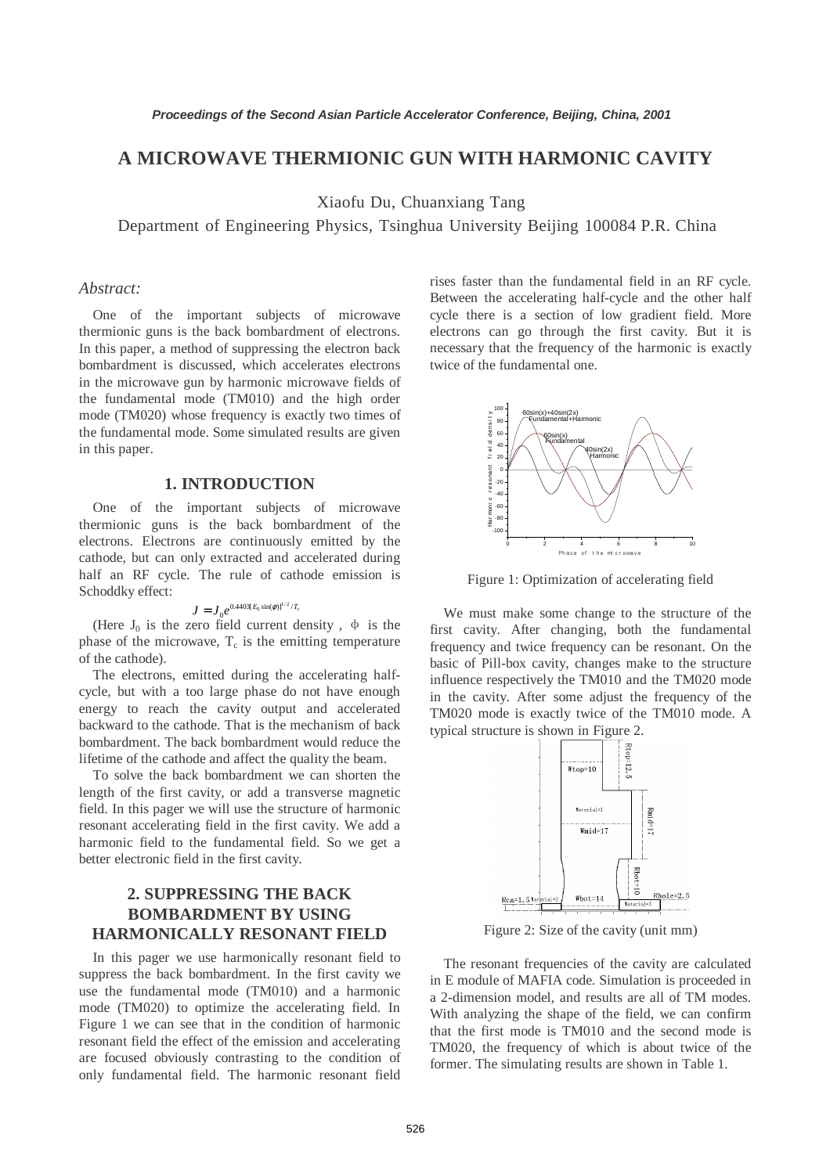## **A MICROWAVE THERMIONIC GUN WITH HARMONIC CAVITY**

Xiaofu Du, Chuanxiang Tang

Department of Engineering Physics, Tsinghua University Beijing 100084 P.R. China

#### *Abstract:*

One of the important subjects of microwave thermionic guns is the back bombardment of electrons. In this paper, a method of suppressing the electron back bombardment is discussed, which accelerates electrons in the microwave gun by harmonic microwave fields of the fundamental mode (TM010) and the high order mode (TM020) whose frequency is exactly two times of the fundamental mode. Some simulated results are given in this paper.

### **1. INTRODUCTION**

One of the important subjects of microwave thermionic guns is the back bombardment of the electrons. Electrons are continuously emitted by the cathode, but can only extracted and accelerated during half an RF cycle. The rule of cathode emission is Schoddky effect:

# $J=J_{0}e^{0.4403[E_{0}\sin(\phi)]^{1/2}/T_{c}}$

(Here  $J_0$  is the zero field current density,  $\phi$  is the phase of the microwave,  $T_c$  is the emitting temperature of the cathode).

The electrons, emitted during the accelerating halfcycle, but with a too large phase do not have enough energy to reach the cavity output and accelerated backward to the cathode. That is the mechanism of back bombardment. The back bombardment would reduce the lifetime of the cathode and affect the quality the beam.

To solve the back bombardment we can shorten the length of the first cavity, or add a transverse magnetic field. In this pager we will use the structure of harmonic resonant accelerating field in the first cavity. We add a harmonic field to the fundamental field. So we get a better electronic field in the first cavity.

# **2. SUPPRESSING THE BACK BOMBARDMENT BY USING HARMONICALLY RESONANT FIELD**

In this pager we use harmonically resonant field to suppress the back bombardment. In the first cavity we use the fundamental mode (TM010) and a harmonic mode (TM020) to optimize the accelerating field. In Figure 1 we can see that in the condition of harmonic resonant field the effect of the emission and accelerating are focused obviously contrasting to the condition of only fundamental field. The harmonic resonant field

rises faster than the fundamental field in an RF cycle. Between the accelerating half-cycle and the other half cycle there is a section of low gradient field. More electrons can go through the first cavity. But it is necessary that the frequency of the harmonic is exactly twice of the fundamental one.



Figure 1: Optimization of accelerating field

We must make some change to the structure of the first cavity. After changing, both the fundamental frequency and twice frequency can be resonant. On the basic of Pill-box cavity, changes make to the structure influence respectively the TM010 and the TM020 mode in the cavity. After some adjust the frequency of the TM020 mode is exactly twice of the TM010 mode. A typical structure is shown in Figure 2.



Figure 2: Size of the cavity (unit mm)

The resonant frequencies of the cavity are calculated in E module of MAFIA code. Simulation is proceeded in a 2-dimension model, and results are all of TM modes. With analyzing the shape of the field, we can confirm that the first mode is TM010 and the second mode is TM020, the frequency of which is about twice of the former. The simulating results are shown in Table 1.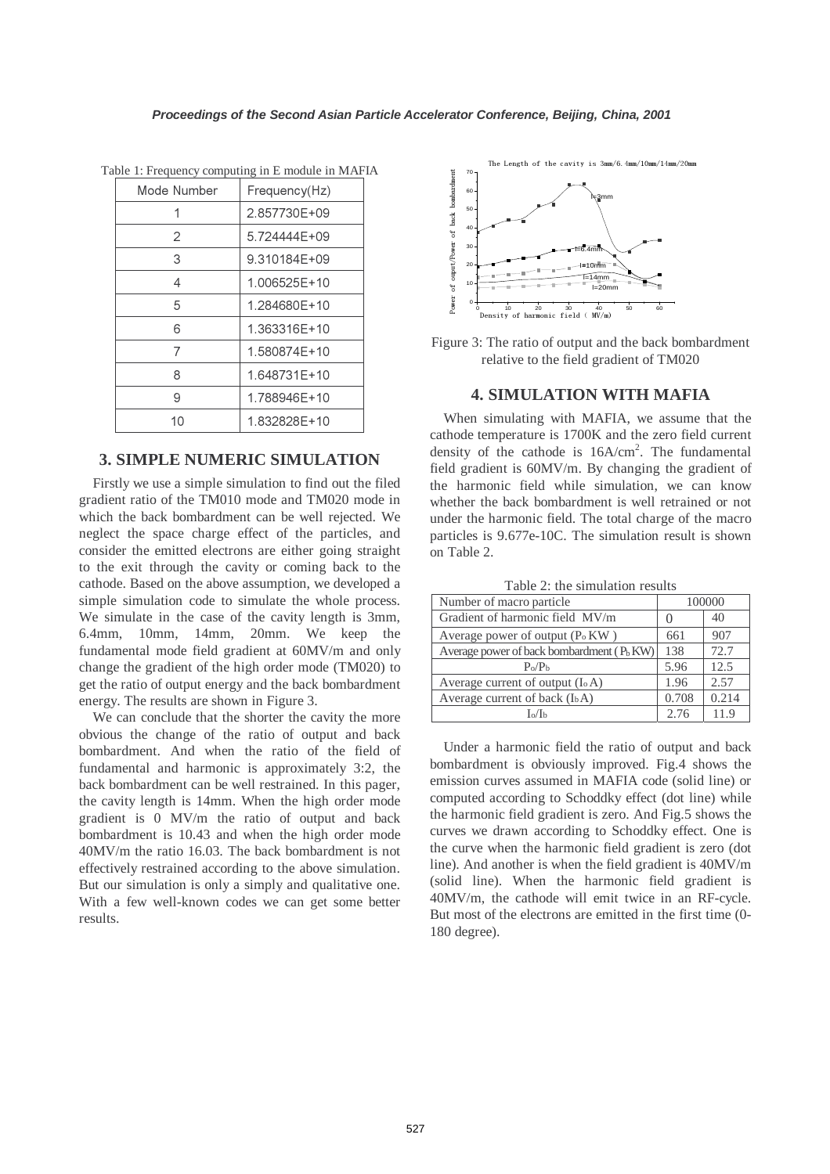| Mode Number | Frequency(Hz) |
|-------------|---------------|
|             | 2.857730E+09  |
| 2           | 5.724444F+09  |
| 3           | 9.310184E+09  |
| 4           | 1.006525E+10  |
| 5           | 1.284680E+10  |
| 6           | 1.363316F+10  |
| 7           | 1.580874F+10  |
| 8           | 1.648731E+10  |
| 9           | 1.788946F+10  |
| 10          | 1.832828E+10  |

Table 1: Frequency computing in E module in MAFIA

### **3. SIMPLE NUMERIC SIMULATION**

Firstly we use a simple simulation to find out the filed gradient ratio of the TM010 mode and TM020 mode in which the back bombardment can be well rejected. We neglect the space charge effect of the particles, and consider the emitted electrons are either going straight to the exit through the cavity or coming back to the cathode. Based on the above assumption, we developed a simple simulation code to simulate the whole process. We simulate in the case of the cavity length is 3mm, 6.4mm, 10mm, 14mm, 20mm. We keep the fundamental mode field gradient at 60MV/m and only change the gradient of the high order mode (TM020) to get the ratio of output energy and the back bombardment energy. The results are shown in Figure 3.

We can conclude that the shorter the cavity the more obvious the change of the ratio of output and back bombardment. And when the ratio of the field of fundamental and harmonic is approximately 3:2, the back bombardment can be well restrained. In this pager, the cavity length is 14mm. When the high order mode gradient is 0 MV/m the ratio of output and back bombardment is 10.43 and when the high order mode 40MV/m the ratio 16.03. The back bombardment is not effectively restrained according to the above simulation. But our simulation is only a simply and qualitative one. With a few well-known codes we can get some better results.



Figure 3: The ratio of output and the back bombardment relative to the field gradient of TM020

### **4. SIMULATION WITH MAFIA**

When simulating with MAFIA, we assume that the cathode temperature is 1700K and the zero field current density of the cathode is  $16A/cm<sup>2</sup>$ . The fundamental field gradient is 60MV/m. By changing the gradient of the harmonic field while simulation, we can know whether the back bombardment is well retrained or not under the harmonic field. The total charge of the macro particles is 9.677e-10C. The simulation result is shown on Table 2.

| Number of macro particle                      | 100000 |       |
|-----------------------------------------------|--------|-------|
| Gradient of harmonic field MV/m               |        | 40    |
| Average power of output $(P_0 K W)$           | 661    | 907   |
| Average power of back bombardment $(P_h K W)$ | 138    | 72.7  |
| $P_0/P_b$                                     | 5.96   | 12.5  |
| Average current of output $(I_0 A)$           | 1.96   | 2.57  |
| Average current of back $(I_b A)$             | 0.708  | 0.214 |
| Iօ/Iե                                         | 2.76   | 19    |

Table 2: the simulation results

Under a harmonic field the ratio of output and back bombardment is obviously improved. Fig.4 shows the emission curves assumed in MAFIA code (solid line) or computed according to Schoddky effect (dot line) while the harmonic field gradient is zero. And Fig.5 shows the curves we drawn according to Schoddky effect. One is the curve when the harmonic field gradient is zero (dot line). And another is when the field gradient is 40MV/m (solid line). When the harmonic field gradient is 40MV/m, the cathode will emit twice in an RF-cycle. But most of the electrons are emitted in the first time (0- 180 degree).